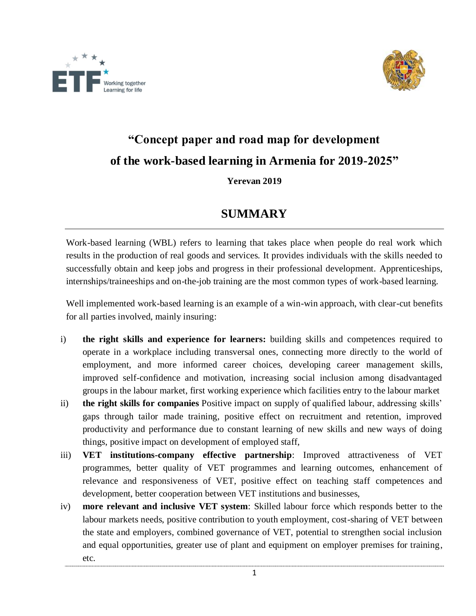



## **"Concept paper and road map for development of the work-based learning in Armenia for 2019-2025"**

## **Yerevan 2019**

## **SUMMARY**

Work-based learning (WBL) refers to learning that takes place when people do real work which results in the production of real goods and services. It provides individuals with the skills needed to successfully obtain and keep jobs and progress in their professional development. Apprenticeships, internships/traineeships and on-the-job training are the most common types of work-based learning.

Well implemented work-based learning is an example of a win-win approach, with clear-cut benefits for all parties involved, mainly insuring:

- i) **the right skills and experience for learners:** building skills and competences required to operate in a workplace including transversal ones, connecting more directly to the world of employment, and more informed career choices, developing career management skills, improved self-confidence and motivation, increasing social inclusion among disadvantaged groups in the labour market, first working experience which facilities entry to the labour market
- ii) **the right skills for companies** Positive impact on supply of qualified labour, addressing skills' gaps through tailor made training, positive effect on recruitment and retention, improved productivity and performance due to constant learning of new skills and new ways of doing things, positive impact on development of employed staff,
- iii) **VET institutions-company effective partnership**: Improved attractiveness of VET programmes, better quality of VET programmes and learning outcomes, enhancement of relevance and responsiveness of VET, positive effect on teaching staff competences and development, better cooperation between VET institutions and businesses,
- iv) **more relevant and inclusive VET system**: Skilled labour force which responds better to the labour markets needs, positive contribution to youth employment, cost-sharing of VET between the state and employers, combined governance of VET, potential to strengthen social inclusion and equal opportunities, greater use of plant and equipment on employer premises for training, etc.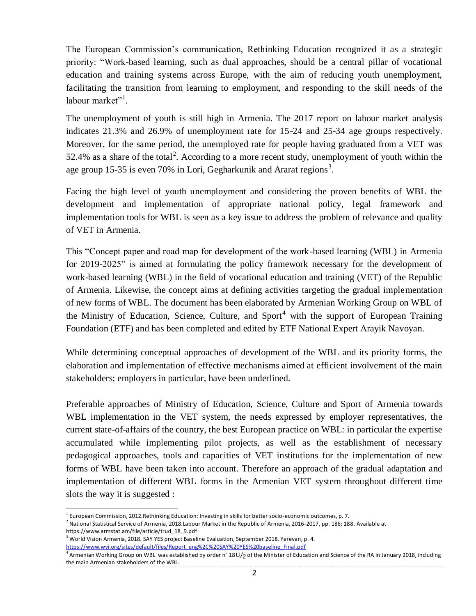The European Commission's communication, Rethinking Education recognized it as a strategic priority: "Work-based learning, such as dual approaches, should be a central pillar of vocational education and training systems across Europe, with the aim of reducing youth unemployment, facilitating the transition from learning to employment, and responding to the skill needs of the labour market"<sup>1</sup>.

The unemployment of youth is still high in Armenia. The 2017 report on labour market analysis indicates 21.3% and 26.9% of unemployment rate for 15-24 and 25-34 age groups respectively. Moreover, for the same period, the unemployed rate for people having graduated from a VET was 52.4% as a share of the total<sup>2</sup>. According to a more recent study, unemployment of youth within the age group 15-35 is even 70% in Lori, Gegharkunik and Ararat regions<sup>3</sup>.

Facing the high level of youth unemployment and considering the proven benefits of WBL the development and implementation of appropriate national policy, legal framework and implementation tools for WBL is seen as a key issue to address the problem of relevance and quality of VET in Armenia.

This "Concept paper and road map for development of the work-based learning (WBL) in Armenia for 2019-2025" is aimed at formulating the policy framework necessary for the development of work-based learning (WBL) in the field of vocational education and training (VET) of the Republic of Armenia. Likewise, the concept aims at defining activities targeting the gradual implementation of new forms of WBL. The document has been elaborated by Armenian Working Group on WBL of the Ministry of Education, Science, Culture, and Sport<sup>4</sup> with the support of European Training Foundation (ETF) and has been completed and edited by ETF National Expert Arayik Navoyan.

While determining conceptual approaches of development of the WBL and its priority forms, the elaboration and implementation of effective mechanisms aimed at efficient involvement of the main stakeholders; employers in particular, have been underlined.

Preferable approaches of Ministry of Education, Science, Culture and Sport of Armenia towards WBL implementation in the VET system, the needs expressed by employer representatives, the current state-of-affairs of the country, the best European practice on WBL: in particular the expertise accumulated while implementing pilot projects, as well as the establishment of necessary pedagogical approaches, tools and capacities of VET institutions for the implementation of new forms of WBL have been taken into account. Therefore an approach of the gradual adaptation and implementation of different WBL forms in the Armenian VET system throughout different time slots the way it is suggested :

 $\ddot{\phantom{a}}$ <sup>1</sup> European Commission, 2012.Rethinking Education: Investing in skills for better socio-economic outcomes, p. 7.

<sup>&</sup>lt;sup>2</sup> National Statistical Service of Armenia, 2018.Labour Market in the Republic of Armenia, 2016-2017, pp. 186; 188. Available at https://www.armstat.am/file/article/trud\_18\_9.pdf

 $^3$  World Vision Armenia, 2018. SAY YES project Baseline Evaluation, September 2018, Yerevan, p. 4. [https://www.wvi.org/sites/default/files/Report\\_eng%2C%20SAY%20YES%20baseline\\_Final.pdf](https://www.wvi.org/sites/default/files/Report_eng%2C%20SAY%20YES%20baseline_Final.pdf)

 $^4$  Armenian Working Group on WBL was established by order n° 18 $\rm U/_{2}$  of the Minister of Education and Science of the RA in January 2018, including the main Armenian stakeholders of the WBL.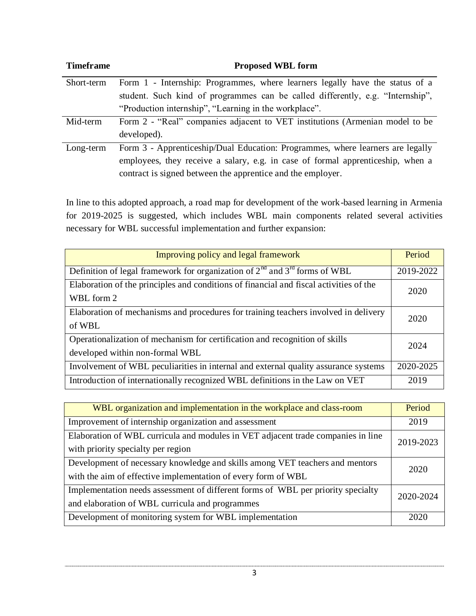| <b>Timeframe</b> | <b>Proposed WBL form</b>                                                        |
|------------------|---------------------------------------------------------------------------------|
| Short-term       | Form 1 - Internship: Programmes, where learners legally have the status of a    |
|                  | student. Such kind of programmes can be called differently, e.g. "Internship",  |
|                  | "Production internship", "Learning in the workplace".                           |
| Mid-term         | Form 2 - "Real" companies adjacent to VET institutions (Armenian model to be    |
|                  | developed).                                                                     |
| Long-term        | Form 3 - Apprenticeship/Dual Education: Programmes, where learners are legally  |
|                  | employees, they receive a salary, e.g. in case of formal apprenticeship, when a |
|                  | contract is signed between the apprentice and the employer.                     |

In line to this adopted approach, a road map for development of the work-based learning in Armenia for 2019-2025 is suggested, which includes WBL main components related several activities necessary for WBL successful implementation and further expansion:

| Improving policy and legal framework                                                                           | Period    |
|----------------------------------------------------------------------------------------------------------------|-----------|
| Definition of legal framework for organization of $2nd$ and $3rd$ forms of WBL                                 | 2019-2022 |
| Elaboration of the principles and conditions of financial and fiscal activities of the<br>WBL form 2           | 2020      |
| Elaboration of mechanisms and procedures for training teachers involved in delivery<br>of WBL                  | 2020      |
| Operationalization of mechanism for certification and recognition of skills<br>developed within non-formal WBL | 2024      |
| Involvement of WBL peculiarities in internal and external quality assurance systems                            | 2020-2025 |
| Introduction of internationally recognized WBL definitions in the Law on VET                                   | 2019      |

| WBL organization and implementation in the workplace and class-room                           | Period    |  |
|-----------------------------------------------------------------------------------------------|-----------|--|
| Improvement of internship organization and assessment                                         | 2019      |  |
| Elaboration of WBL curricula and modules in VET adjacent trade companies in line              |           |  |
| with priority specialty per region                                                            | 2019-2023 |  |
| Development of necessary knowledge and skills among VET teachers and mentors<br>2020          |           |  |
| with the aim of effective implementation of every form of WBL                                 |           |  |
| Implementation needs assessment of different forms of WBL per priority specialty<br>2020-2024 |           |  |
| and elaboration of WBL curricula and programmes                                               |           |  |
| Development of monitoring system for WBL implementation                                       | 2020      |  |